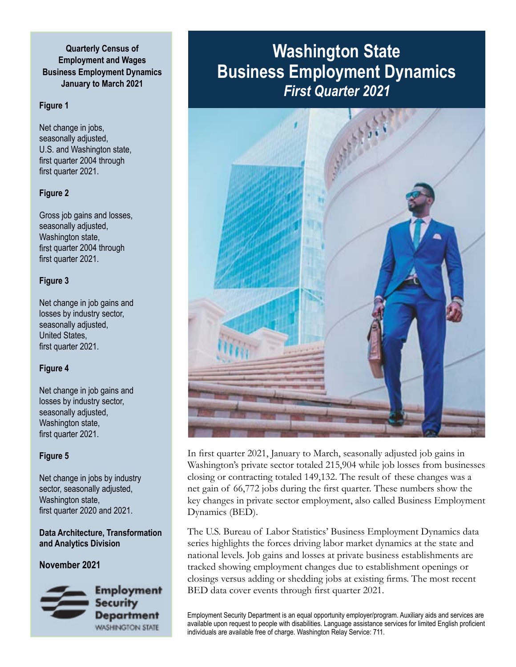## **Quarterly Census of Employment and Wages Business Employment Dynamics January to March 2021**

### **Figure 1**

Net change in jobs, seasonally adjusted, U.S. and Washington state, first quarter 2004 through first quarter 2021.

### **Figure 2**

Gross job gains and losses, seasonally adjusted, Washington state, first quarter 2004 through first quarter 2021.

### **Figure 3**

Net change in job gains and losses by industry sector, seasonally adjusted, United States, first quarter 2021.

## **Figure 4**

Net change in job gains and losses by industry sector, seasonally adjusted, Washington state, first quarter 2021.

## **Figure 5**

Net change in jobs by industry sector, seasonally adjusted, Washington state, first quarter 2020 and 2021.

### **Data Architecture, Transformation and Analytics Division**

**November 2021**



# **Washington State Business Employment Dynamics** *First Quarter 2021*



In first quarter 2021, January to March, seasonally adjusted job gains in Washington's private sector totaled 215,904 while job losses from businesses closing or contracting totaled 149,132. The result of these changes was a net gain of 66,772 jobs during the first quarter. These numbers show the key changes in private sector employment, also called Business Employment Dynamics (BED).

The U.S. Bureau of Labor Statistics' Business Employment Dynamics data series highlights the forces driving labor market dynamics at the state and national levels. Job gains and losses at private business establishments are tracked showing employment changes due to establishment openings or closings versus adding or shedding jobs at existing firms. The most recent BED data cover events through first quarter 2021.

Employment Security Department is an equal opportunity employer/program. Auxiliary aids and services are available upon request to people with disabilities. Language assistance services for limited English proficient individuals are available free of charge. Washington Relay Service: 711.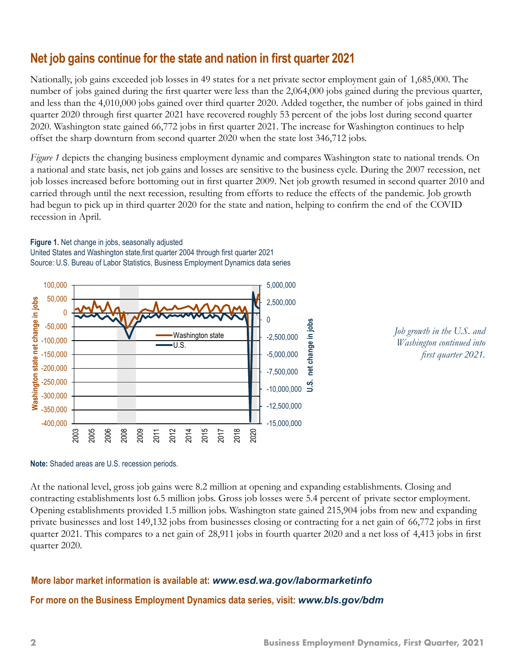# **Net job gains continue for the state and nation in first quarter 2021**

Nationally, job gains exceeded job losses in 49 states for a net private sector employment gain of 1,685,000. The number of jobs gained during the first quarter were less than the 2,064,000 jobs gained during the previous quarter, and less than the 4,010,000 jobs gained over third quarter 2020. Added together, the number of jobs gained in third quarter 2020 through first quarter 2021 have recovered roughly 53 percent of the jobs lost during second quarter 2020. Washington state gained 66,772 jobs in first quarter 2021. The increase for Washington continues to help offset the sharp downturn from second quarter 2020 when the state lost 346,712 jobs.

*Figure 1* depicts the changing business employment dynamic and compares Washington state to national trends. On a national and state basis, net job gains and losses are sensitive to the business cycle. During the 2007 recession, net job losses increased before bottoming out in first quarter 2009. Net job growth resumed in second quarter 2010 and carried through until the next recession, resulting from efforts to reduce the effects of the pandemic. Job growth had begun to pick up in third quarter 2020 for the state and nation, helping to confirm the end of the COVID recession in April.

### **Figure 1.** Net change in jobs, seasonally adjusted United States and Washington state,first quarter 2004 through first quarter 2021 Source: U.S. Bureau of Labor Statistics, Business Employment Dynamics data series





#### **Note:** Shaded areas are U.S. recession periods.

At the national level, gross job gains were 8.2 million at opening and expanding establishments. Closing and contracting establishments lost 6.5 million jobs. Gross job losses were 5.4 percent of private sector employment. Opening establishments provided 1.5 million jobs. Washington state gained 215,904 jobs from new and expanding private businesses and lost 149,132 jobs from businesses closing or contracting for a net gain of 66,772 jobs in first quarter 2021. This compares to a net gain of 28,911 jobs in fourth quarter 2020 and a net loss of 4,413 jobs in first quarter 2020.

# **More labor market information is available at:** *[www.esd.wa.gov/labormarketinfo](http://www.esd.wa.gov/labormarketinfo)* **For more on the Business Employment Dynamics data series, visit:** *[www.bls.gov/bdm](http://www.bls.gov/bdm)*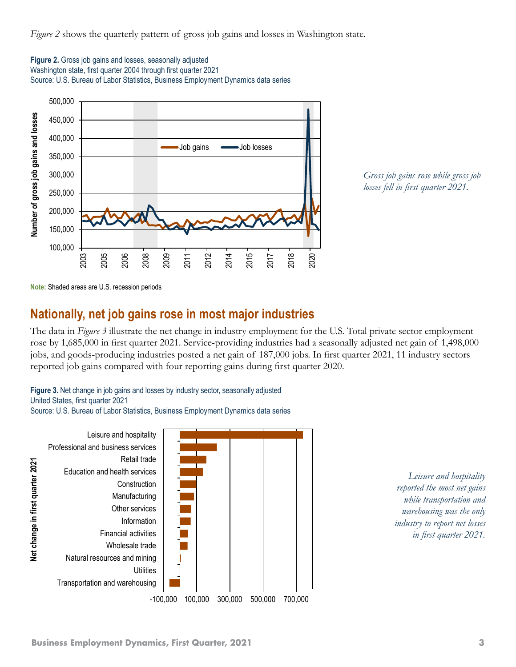*Figure 2* shows the quarterly pattern of gross job gains and losses in Washington state.





*Gross job gains rose while gross job losses fell in first quarter 2021.*

**Note:** Shaded areas are U.S. recession periods

# **Nationally, net job gains rose in most major industries**

The data in *Figure 3* illustrate the net change in industry employment for the U.S. Total private sector employment rose by 1,685,000 in first quarter 2021. Service-providing industries had a seasonally adjusted net gain of 1,498,000 jobs, and goods-producing industries posted a net gain of 187,000 jobs. In first quarter 2021, 11 industry sectors reported job gains compared with four reporting gains during first quarter 2020.

**Figure 3.** Net change in job gains and losses by industry sector, seasonally adjusted United States, first quarter 2021

Source: U.S. Bureau of Labor Statistics, Business Employment Dynamics data series



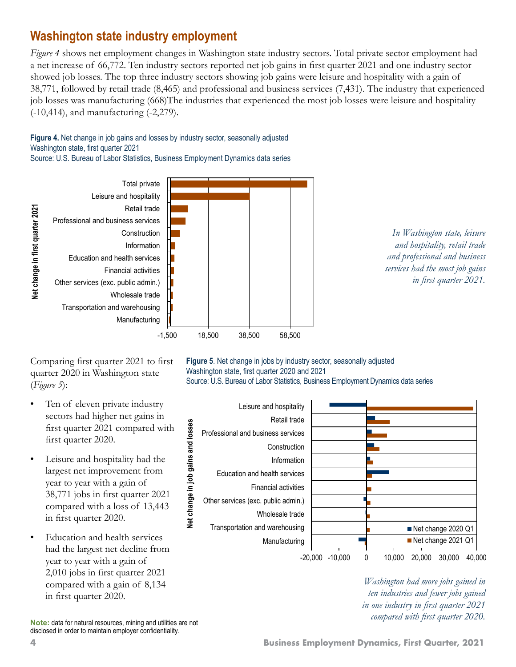# **Washington state industry employment**

*Figure 4* shows net employment changes in Washington state industry sectors. Total private sector employment had a net increase of 66,772. Ten industry sectors reported net job gains in first quarter 2021 and one industry sector showed job losses. The top three industry sectors showing job gains were leisure and hospitality with a gain of 38,771, followed by retail trade (8,465) and professional and business services (7,431). The industry that experienced job losses was manufacturing (668)The industries that experienced the most job losses were leisure and hospitality (-10,414), and manufacturing (-2,279).

**Figure 4.** Net change in job gains and losses by industry sector, seasonally adjusted Washington state, first quarter 2021 Source: U.S. Bureau of Labor Statistics, Business Employment Dynamics data series

Total private Leisure and hospitality Retail trade Net change in first quarter 2021 **Net change in first quarter 2021** Professional and business services Construction Information Education and health services Financial activities Other services (exc. public admin.) Wholesale trade Transportation and warehousing Manufacturing -1,500 18,500 38,500 58,500



Comparing first quarter 2021 to first quarter 2020 in Washington state (*Figure 5*):

- Ten of eleven private industry sectors had higher net gains in first quarter 2021 compared with first quarter 2020.
- Leisure and hospitality had the largest net improvement from year to year with a gain of 38,771 jobs in first quarter 2021 compared with a loss of 13,443 in first quarter 2020.
- Education and health services had the largest net decline from year to year with a gain of 2,010 jobs in first quarter 2021 compared with a gain of 8,134 in first quarter 2020.

**Figure 5**. Net change in jobs by industry sector, seasonally adjusted Washington state, first quarter 2020 and 2021 Source: U.S. Bureau of Labor Statistics, Business Employment Dynamics data series



*Washington had more jobs gained in ten industries and fewer jobs gained in one industry in first quarter 2021* 

*compared with first quarter 2020.* **Note:** data for natural resources, mining and utilities are not disclosed in order to maintain employer confidentiality.